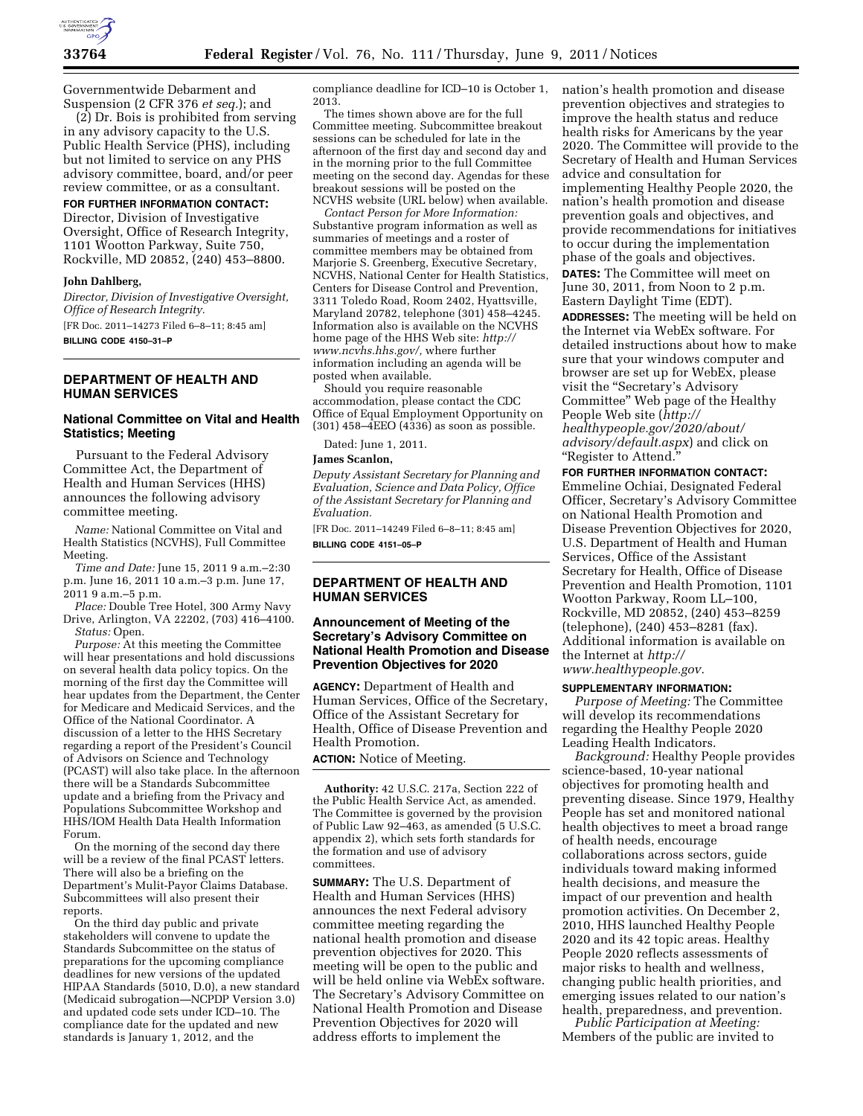

Governmentwide Debarment and Suspension (2 CFR 376 *et seq.*); and

(2) Dr. Bois is prohibited from serving in any advisory capacity to the U.S. Public Health Service (PHS), including but not limited to service on any PHS advisory committee, board, and/or peer review committee, or as a consultant.

#### **FOR FURTHER INFORMATION CONTACT:**

Director, Division of Investigative Oversight, Office of Research Integrity, 1101 Wootton Parkway, Suite 750, Rockville, MD 20852, (240) 453–8800.

#### **John Dahlberg,**

*Director, Division of Investigative Oversight, Office of Research Integrity.*  [FR Doc. 2011–14273 Filed 6–8–11; 8:45 am]

**BILLING CODE 4150–31–P** 

# **DEPARTMENT OF HEALTH AND HUMAN SERVICES**

### **National Committee on Vital and Health Statistics; Meeting**

Pursuant to the Federal Advisory Committee Act, the Department of Health and Human Services (HHS) announces the following advisory committee meeting.

*Name:* National Committee on Vital and Health Statistics (NCVHS), Full Committee Meeting.

*Time and Date:* June 15, 2011 9 a.m.–2:30 p.m. June 16, 2011 10 a.m.–3 p.m. June 17, 2011 9 a.m.–5 p.m.

*Place:* Double Tree Hotel, 300 Army Navy Drive, Arlington, VA 22202, (703) 416–4100. *Status:* Open.

*Purpose:* At this meeting the Committee will hear presentations and hold discussions on several health data policy topics. On the morning of the first day the Committee will hear updates from the Department, the Center for Medicare and Medicaid Services, and the Office of the National Coordinator. A discussion of a letter to the HHS Secretary regarding a report of the President's Council of Advisors on Science and Technology (PCAST) will also take place. In the afternoon there will be a Standards Subcommittee update and a briefing from the Privacy and Populations Subcommittee Workshop and HHS/IOM Health Data Health Information Forum.

On the morning of the second day there will be a review of the final PCAST letters. There will also be a briefing on the Department's Mulit-Payor Claims Database. Subcommittees will also present their reports.

On the third day public and private stakeholders will convene to update the Standards Subcommittee on the status of preparations for the upcoming compliance deadlines for new versions of the updated HIPAA Standards (5010, D.0), a new standard (Medicaid subrogation—NCPDP Version 3.0) and updated code sets under ICD–10. The compliance date for the updated and new standards is January 1, 2012, and the

compliance deadline for ICD–10 is October 1, 2013.

The times shown above are for the full Committee meeting. Subcommittee breakout sessions can be scheduled for late in the afternoon of the first day and second day and in the morning prior to the full Committee meeting on the second day. Agendas for these breakout sessions will be posted on the NCVHS website (URL below) when available.

*Contact Person for More Information:*  Substantive program information as well as summaries of meetings and a roster of committee members may be obtained from Marjorie S. Greenberg, Executive Secretary, NCVHS, National Center for Health Statistics, Centers for Disease Control and Prevention, 3311 Toledo Road, Room 2402, Hyattsville, Maryland 20782, telephone (301) 458–4245. Information also is available on the NCVHS home page of the HHS Web site: *[http://](http://www.ncvhs.hhs.gov/)  [www.ncvhs.hhs.gov/,](http://www.ncvhs.hhs.gov/)* where further information including an agenda will be posted when available.

Should you require reasonable accommodation, please contact the CDC Office of Equal Employment Opportunity on (301) 458–4EEO (4336) as soon as possible.

Dated: June 1, 2011.

#### **James Scanlon,**

*Deputy Assistant Secretary for Planning and Evaluation, Science and Data Policy, Office of the Assistant Secretary for Planning and Evaluation.* 

[FR Doc. 2011–14249 Filed 6–8–11; 8:45 am] **BILLING CODE 4151–05–P** 

## **DEPARTMENT OF HEALTH AND HUMAN SERVICES**

## **Announcement of Meeting of the Secretary's Advisory Committee on National Health Promotion and Disease Prevention Objectives for 2020**

**AGENCY:** Department of Health and Human Services, Office of the Secretary, Office of the Assistant Secretary for Health, Office of Disease Prevention and Health Promotion.

**ACTION:** Notice of Meeting.

**Authority:** 42 U.S.C. 217a, Section 222 of the Public Health Service Act, as amended. The Committee is governed by the provision of Public Law 92–463, as amended (5 U.S.C. appendix 2), which sets forth standards for the formation and use of advisory committees.

**SUMMARY:** The U.S. Department of Health and Human Services (HHS) announces the next Federal advisory committee meeting regarding the national health promotion and disease prevention objectives for 2020. This meeting will be open to the public and will be held online via WebEx software. The Secretary's Advisory Committee on National Health Promotion and Disease Prevention Objectives for 2020 will address efforts to implement the

nation's health promotion and disease prevention objectives and strategies to improve the health status and reduce health risks for Americans by the year 2020. The Committee will provide to the Secretary of Health and Human Services advice and consultation for implementing Healthy People 2020, the nation's health promotion and disease prevention goals and objectives, and provide recommendations for initiatives to occur during the implementation phase of the goals and objectives. **DATES:** The Committee will meet on

June 30, 2011, from Noon to 2 p.m. Eastern Daylight Time (EDT).

**ADDRESSES:** The meeting will be held on the Internet via WebEx software. For detailed instructions about how to make sure that your windows computer and browser are set up for WebEx, please visit the ''Secretary's Advisory Committee'' Web page of the Healthy People Web site (*[http://](http://healthypeople.gov/2020/about/advisory/default.aspx)  [healthypeople.gov/2020/about/](http://healthypeople.gov/2020/about/advisory/default.aspx)  [advisory/default.aspx](http://healthypeople.gov/2020/about/advisory/default.aspx)*) and click on ''Register to Attend.''

**FOR FURTHER INFORMATION CONTACT:**  Emmeline Ochiai, Designated Federal Officer, Secretary's Advisory Committee on National Health Promotion and Disease Prevention Objectives for 2020, U.S. Department of Health and Human Services, Office of the Assistant Secretary for Health, Office of Disease Prevention and Health Promotion, 1101 Wootton Parkway, Room LL–100, Rockville, MD 20852, (240) 453–8259 (telephone), (240) 453–8281 (fax). Additional information is available on the Internet at *[http://](http://www.healthypeople.gov)  [www.healthypeople.gov.](http://www.healthypeople.gov)* 

#### **SUPPLEMENTARY INFORMATION:**

*Purpose of Meeting:* The Committee will develop its recommendations regarding the Healthy People 2020 Leading Health Indicators.

*Background:* Healthy People provides science-based, 10-year national objectives for promoting health and preventing disease. Since 1979, Healthy People has set and monitored national health objectives to meet a broad range of health needs, encourage collaborations across sectors, guide individuals toward making informed health decisions, and measure the impact of our prevention and health promotion activities. On December 2, 2010, HHS launched Healthy People 2020 and its 42 topic areas. Healthy People 2020 reflects assessments of major risks to health and wellness, changing public health priorities, and emerging issues related to our nation's health, preparedness, and prevention.

*Public Participation at Meeting:*  Members of the public are invited to